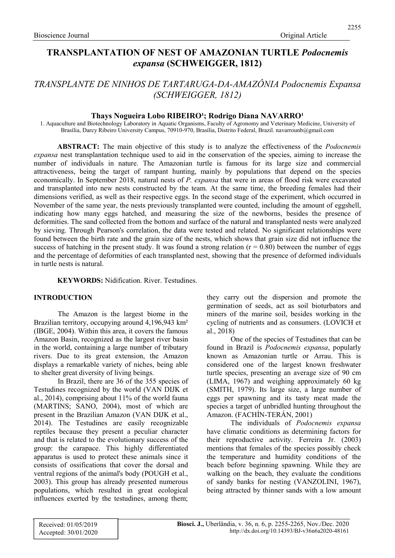# TRANSPLANTATION OF NEST OF AMAZONIAN TURTLE Podocnemis expansa (SCHWEIGGER, 1812)

# TRANSPLANTE DE NINHOS DE TARTARUGA-DA-AMAZÔNIA Podocnemis Expansa (SCHWEIGGER, 1812)

## Thays Nogueira Lobo RIBEIRO<sup>1</sup>; Rodrigo Diana NAVARRO<sup>1</sup>

1. Aquaculture and Biotechnology Laboratory in Aquatic Organisms, Faculty of Agronomy and Veterinary Medicine, University of Brasília, Darcy Ribeiro University Campus, 70910-970, Brasília, Distrito Federal, Brazil. navarrounb@gmail.com

**ABSTRACT:** The main objective of this study is to analyze the effectiveness of the *Podocnemis* expansa nest transplantation technique used to aid in the conservation of the species, aiming to increase the number of individuals in nature. The Amazonian turtle is famous for its large size and commercial attractiveness, being the target of rampant hunting, mainly by populations that depend on the species economically. In September 2018, natural nests of P. expansa that were in areas of flood risk were excavated and transplanted into new nests constructed by the team. At the same time, the breeding females had their dimensions verified, as well as their respective eggs. In the second stage of the experiment, which occurred in November of the same year, the nests previously transplanted were counted, including the amount of eggshell, indicating how many eggs hatched, and measuring the size of the newborns, besides the presence of deformities. The sand collected from the bottom and surface of the natural and transplanted nests were analyzed by sieving. Through Pearson's correlation, the data were tested and related. No significant relationships were found between the birth rate and the grain size of the nests, which shows that grain size did not influence the success of hatching in the present study. It was found a strong relation  $(r = 0.80)$  between the number of eggs and the percentage of deformities of each transplanted nest, showing that the presence of deformed individuals in turtle nests is natural.

## KEYWORDS: Nidification. River. Testudines.

## INTRODUCTION

The Amazon is the largest biome in the Brazilian territory, occupying around 4,196,943 km² (IBGE, 2004). Within this area, it covers the famous Amazon Basin, recognized as the largest river basin in the world, containing a large number of tributary rivers. Due to its great extension, the Amazon displays a remarkable variety of niches, being able to shelter great diversity of living beings.

In Brazil, there are 36 of the 355 species of Testudines recognized by the world (VAN DIJK et al., 2014), comprising about 11% of the world fauna (MARTINS; SANO, 2004), most of which are present in the Brazilian Amazon (VAN DIJK et al., 2014). The Testudines are easily recognizable reptiles because they present a peculiar character and that is related to the evolutionary success of the group: the carapace. This highly differentiated apparatus is used to protect these animals since it consists of ossifications that cover the dorsal and ventral regions of the animal's body (POUGH et al., 2003). This group has already presented numerous populations, which resulted in great ecological influences exerted by the testudines, among them; they carry out the dispersion and promote the germination of seeds, act as soil bioturbators and miners of the marine soil, besides working in the cycling of nutrients and as consumers. (LOVICH et al., 2018)

One of the species of Testudines that can be found in Brazil is Podocnemis expansa, popularly known as Amazonian turtle or Arrau. This is considered one of the largest known freshwater turtle species, presenting an average size of 90 cm (LIMA, 1967) and weighing approximately 60 kg (SMITH, 1979). Its large size, a large number of eggs per spawning and its tasty meat made the species a target of unbridled hunting throughout the Amazon. (FACHÍN-TERÁN, 2001)

The individuals of Podocnemis expansa have climatic conditions as determining factors for their reproductive activity. Ferreira Jr. (2003) mentions that females of the species possibly check the temperature and humidity conditions of the beach before beginning spawning. While they are walking on the beach, they evaluate the conditions of sandy banks for nesting (VANZOLINI, 1967), being attracted by thinner sands with a low amount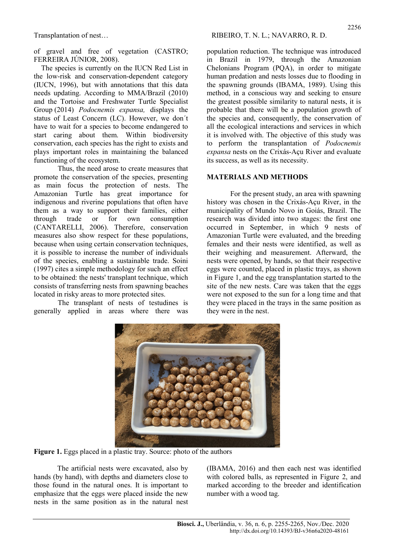of gravel and free of vegetation (CASTRO; FERREIRA JÚNIOR, 2008).

The species is currently on the IUCN Red List in the low-risk and conservation-dependent category (IUCN, 1996), but with annotations that this data needs updating. According to MMA/Brazil (2010) and the Tortoise and Freshwater Turtle Specialist Group (2014) Podocnemis expansa, displays the status of Least Concern (LC). However, we don´t have to wait for a species to become endangered to start caring about them. Within biodiversity conservation, each species has the right to exists and plays important roles in maintaining the balanced functioning of the ecosystem.

Thus, the need arose to create measures that promote the conservation of the species, presenting as main focus the protection of nests. The Amazonian Turtle has great importance for indigenous and riverine populations that often have them as a way to support their families, either through trade or for own consumption (CANTARELLI, 2006). Therefore, conservation measures also show respect for these populations, because when using certain conservation techniques, it is possible to increase the number of individuals of the species, enabling a sustainable trade. Soini (1997) cites a simple methodology for such an effect to be obtained: the nests' transplant technique, which consists of transferring nests from spawning beaches located in risky areas to more protected sites.

The transplant of nests of testudines is generally applied in areas where there was

population reduction. The technique was introduced in Brazil in 1979, through the Amazonian Chelonians Program (PQA), in order to mitigate human predation and nests losses due to flooding in the spawning grounds (IBAMA, 1989). Using this method, in a conscious way and seeking to ensure the greatest possible similarity to natural nests, it is probable that there will be a population growth of the species and, consequently, the conservation of all the ecological interactions and services in which it is involved with. The objective of this study was to perform the transplantation of Podocnemis expansa nests on the Crixás-Açu River and evaluate its success, as well as its necessity.

## MATERIALS AND METHODS

For the present study, an area with spawning history was chosen in the Crixás-Açu River, in the municipality of Mundo Novo in Goiás, Brazil. The research was divided into two stages: the first one occurred in September, in which 9 nests of Amazonian Turtle were evaluated, and the breeding females and their nests were identified, as well as their weighing and measurement. Afterward, the nests were opened, by hands, so that their respective eggs were counted, placed in plastic trays, as shown in Figure 1, and the egg transplantation started to the site of the new nests. Care was taken that the eggs were not exposed to the sun for a long time and that they were placed in the trays in the same position as they were in the nest.



Figure 1. Eggs placed in a plastic tray. Source: photo of the authors

The artificial nests were excavated, also by hands (by hand), with depths and diameters close to those found in the natural ones. It is important to emphasize that the eggs were placed inside the new nests in the same position as in the natural nest (IBAMA, 2016) and then each nest was identified with colored balls, as represented in Figure 2, and marked according to the breeder and identification number with a wood tag.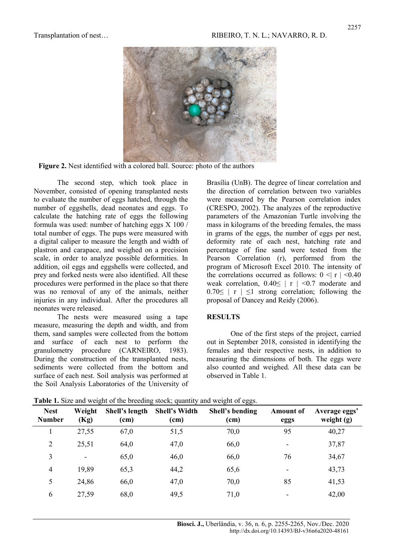

Figure 2. Nest identified with a colored ball. Source: photo of the authors

The second step, which took place in November, consisted of opening transplanted nests to evaluate the number of eggs hatched, through the number of eggshells, dead neonates and eggs. To calculate the hatching rate of eggs the following formula was used: number of hatching eggs  $X$  100 / total number of eggs. The pups were measured with a digital caliper to measure the length and width of plastron and carapace, and weighed on a precision scale, in order to analyze possible deformities. In addition, oil eggs and eggshells were collected, and prey and forked nests were also identified. All these procedures were performed in the place so that there was no removal of any of the animals, neither injuries in any individual. After the procedures all neonates were released.

The nests were measured using a tape measure, measuring the depth and width, and from them, sand samples were collected from the bottom and surface of each nest to perform the granulometry procedure (CARNEIRO, 1983). During the construction of the transplanted nests, sediments were collected from the bottom and surface of each nest. Soil analysis was performed at the Soil Analysis Laboratories of the University of Brasília (UnB). The degree of linear correlation and the direction of correlation between two variables were measured by the Pearson correlation index (CRESPO, 2002). The analyzes of the reproductive parameters of the Amazonian Turtle involving the mass in kilograms of the breeding females, the mass in grams of the eggs, the number of eggs per nest, deformity rate of each nest, hatching rate and percentage of fine sand were tested from the Pearson Correlation (r), performed from the program of Microsoft Excel 2010. The intensity of the correlations occurred as follows:  $0 \leq r \leq 0.40$ weak correlation,  $0.40 \le |r| < 0.7$  moderate and  $0.70 \le |r| \le 1$  strong correlation; following the proposal of Dancey and Reidy (2006).

#### **RESULTS**

One of the first steps of the project, carried out in September 2018, consisted in identifying the females and their respective nests, in addition to measuring the dimensions of both. The eggs were also counted and weighed. All these data can be observed in Table 1.

| <b>Nest</b><br><b>Number</b> | Weight<br>(Kg)           | Shell's length<br>(cm) | <b>Shell's Width</b><br>(cm) | Shell's bending<br>(cm) | <b>Amount of</b><br>eggs | Average eggs'<br>weight $(g)$ |
|------------------------------|--------------------------|------------------------|------------------------------|-------------------------|--------------------------|-------------------------------|
|                              | 27,55                    | 67,0                   | 51,5                         | 70,0                    | 95                       | 40,27                         |
| $\overline{2}$               | 25,51                    | 64,0                   | 47,0                         | 66,0                    | ۰                        | 37,87                         |
| 3                            | $\overline{\phantom{a}}$ | 65,0                   | 46,0                         | 66,0                    | 76                       | 34,67                         |
| 4                            | 19,89                    | 65,3                   | 44,2                         | 65,6                    |                          | 43,73                         |
| 5                            | 24,86                    | 66,0                   | 47,0                         | 70,0                    | 85                       | 41,53                         |
| 6                            | 27,59                    | 68,0                   | 49,5                         | 71,0                    |                          | 42,00                         |

Table 1. Size and weight of the breeding stock; quantity and weight of eggs.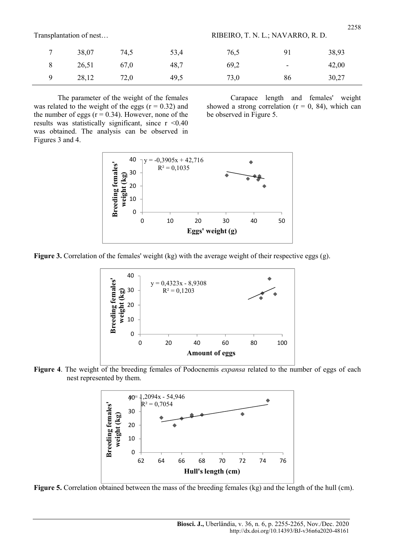| Transplantation of nest |  |
|-------------------------|--|
|-------------------------|--|

| Transplantation of nest | RIBEIRO, T. N. L.; NAVARRO, R. D. |
|-------------------------|-----------------------------------|
|-------------------------|-----------------------------------|

| $\overline{ }$ | 38,07 | 74,5 | 53,4 | 76,5 | 91                       | 38,93 |
|----------------|-------|------|------|------|--------------------------|-------|
|                | 26,51 | 67,0 | 48,7 | 69,2 | $\overline{\phantom{0}}$ | 42,00 |
|                | 28,12 | 72,0 | 49,5 | 73,0 | 86                       | 30,27 |

The parameter of the weight of the females was related to the weight of the eggs  $(r = 0.32)$  and the number of eggs ( $r = 0.34$ ). However, none of the results was statistically significant, since  $r < 0.40$ was obtained. The analysis can be observed in Figures 3 and 4.

Carapace length and females' weight showed a strong correlation ( $r = 0$ , 84), which can be observed in Figure 5.



Figure 3. Correlation of the females' weight (kg) with the average weight of their respective eggs (g).







Figure 5. Correlation obtained between the mass of the breeding females (kg) and the length of the hull (cm).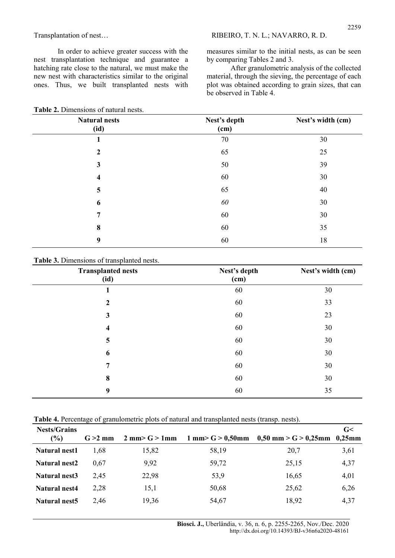Transplantation of nest... RIBEIRO, T. N. L.; NAVARRO, R. D.

In order to achieve greater success with the nest transplantation technique and guarantee a hatching rate close to the natural, we must make the new nest with characteristics similar to the original ones. Thus, we built transplanted nests with

measures similar to the initial nests, as can be seen by comparing Tables 2 and 3.

After granulometric analysis of the collected material, through the sieving, the percentage of each plot was obtained according to grain sizes, that can be observed in Table 4.

| <b>Natural nests</b><br>(id) | Nest's depth<br>(cm) | Nest's width (cm) |
|------------------------------|----------------------|-------------------|
| $\mathbf{1}$                 | 70                   | 30                |
| $\boldsymbol{2}$             | 65                   | 25                |
| $\mathbf{3}$                 | 50                   | 39                |
| $\overline{\mathbf{4}}$      | 60                   | 30                |
| 5                            | 65                   | 40                |
| 6                            | 60                   | 30                |
| 7                            | 60                   | 30                |
| 8                            | 60                   | 35                |
| 9                            | 60                   | 18                |

Table 2. Dimensions of natural nests.

Table 3. Dimensions of transplanted nests.

| <b>Transplanted nests</b><br>(id) | Nest's depth<br>(cm) | Nest's width (cm) |
|-----------------------------------|----------------------|-------------------|
| 1                                 | 60                   | 30                |
| $\boldsymbol{2}$                  | 60                   | 33                |
| 3                                 | 60                   | 23                |
| 4                                 | 60                   | 30                |
| 5                                 | 60                   | 30                |
| 6                                 | 60                   | 30                |
| $\overline{7}$                    | 60                   | 30                |
| 8                                 | 60                   | 30                |
| 9                                 | 60                   | 35                |

Table 4. Percentage of granulometric plots of natural and transplanted nests (transp. nests).

| <b>Nests/Grains</b><br>$(\%)$ | $G > 2$ mm | $2 \text{ mm} > G > 1 \text{ mm}$ |       | $1 \text{ mm} > G > 0,50 \text{ mm}$ 0,50 mm > G > 0,25mm 0,25mm | G<   |
|-------------------------------|------------|-----------------------------------|-------|------------------------------------------------------------------|------|
| <b>Natural nest1</b>          | 1.68       | 15,82                             | 58,19 | 20,7                                                             | 3,61 |
| Natural nest2                 | 0.67       | 9,92                              | 59,72 | 25,15                                                            | 4,37 |
| Natural nest3                 | 2.45       | 22,98                             | 53,9  | 16,65                                                            | 4,01 |
| <b>Natural nest4</b>          | 2,28       | 15,1                              | 50,68 | 25,62                                                            | 6,26 |
| Natural nest5                 | 2.46       | 19,36                             | 54,67 | 18,92                                                            | 4,37 |

Biosci. J., Uberlândia, v. 36, n. 6, p. 2255-2265, Nov./Dec. 2020 http://dx.doi.org/10.14393/BJ-v36n6a2020-48161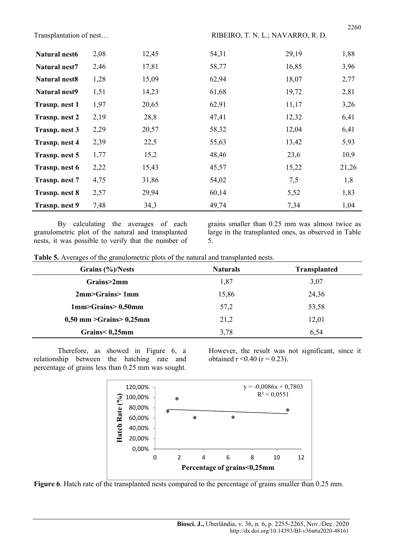| <b>Natural nest6</b> | 2,08 | 12,45 | 54,31 | 29,19 | 1,88  |
|----------------------|------|-------|-------|-------|-------|
| Natural nest7        | 2,46 | 17,81 | 58,77 | 16,85 | 3,96  |
| <b>Natural nest8</b> | 1,28 | 15,09 | 62,94 | 18,07 | 2,77  |
| <b>Natural nest9</b> | 1,51 | 14,23 | 61,68 | 19,72 | 2,81  |
| Trasnp. nest 1       | 1,97 | 20,65 | 62,91 | 11,17 | 3,26  |
| <b>Trasnp.nest 2</b> | 2,19 | 28,8  | 47,41 | 12,32 | 6,41  |
| Trasnp. nest 3       | 2,29 | 20,57 | 58,32 | 12,04 | 6,41  |
| <b>Trasnp.nest 4</b> | 2,39 | 22,5  | 55,63 | 13,42 | 5,93  |
| Trasnp. nest 5       | 1,77 | 15,2  | 48,46 | 23,6  | 10,9  |
| Trasnp. nest 6       | 2,22 | 15,43 | 45,57 | 15,22 | 21,26 |
| Trasnp. nest 7       | 4,75 | 31,86 | 54,02 | 7,5   | 1,8   |
| <b>Trasnp.nest 8</b> | 2,57 | 29,94 | 60,14 | 5,52  | 1,83  |
| Trasnp. nest 9       | 7,48 | 34,3  | 49,74 | 7,34  | 1,04  |

By calculating the averages of each granulometric plot of the natural and transplanted nests, it was possible to verify that the number of grains smaller than 0.25 mm was almost twice as large in the transplanted ones, as observed in Table 5.

| Table 5. Averages of the granulometric plots of the natural and transplanted nests. |  |  |  |
|-------------------------------------------------------------------------------------|--|--|--|
|-------------------------------------------------------------------------------------|--|--|--|

| Grains (%)/Nests                       | <b>Naturals</b> | <b>Transplanted</b> |
|----------------------------------------|-----------------|---------------------|
| Grains>2mm                             | 1,87            | 3,07                |
| 2mm>Grains>1mm                         | 15,86           | 24,36               |
| 1mm>Grains>0,50mm                      | 57,2            | 53,58               |
| $0,50$ mm $\geq$ Grains $\geq 0,25$ mm | 21,2            | 12,01               |
| Grains < 0,25mm                        | 3,78            | 6,54                |

Therefore, as showed in Figure 6, a relationship between the hatching rate and percentage of grains less than 0.25 mm was sought. However, the result was not significant, since it obtained  $r < 0.40$  ( $r = 0.23$ ).



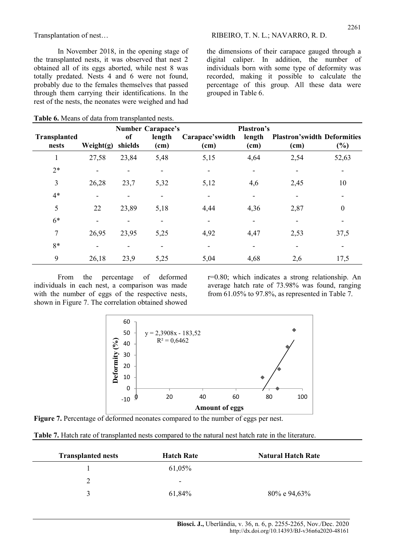In November 2018, in the opening stage of the transplanted nests, it was observed that nest 2 obtained all of its eggs aborted, while nest 8 was totally predated. Nests 4 and 6 were not found, probably due to the females themselves that passed through them carrying their identifications. In the rest of the nests, the neonates were weighed and had

Table 6. Means of data from transplanted nests.

the dimensions of their carapace gauged through a digital caliper. In addition, the number of individuals born with some type of deformity was recorded, making it possible to calculate the percentage of this group. All these data were grouped in Table 6.

|                                                                                                                                                                   |           |                                                      | <b>Number Carapace's</b>                 |                         | Plastron's     |                                                                                                                                                             |                  |
|-------------------------------------------------------------------------------------------------------------------------------------------------------------------|-----------|------------------------------------------------------|------------------------------------------|-------------------------|----------------|-------------------------------------------------------------------------------------------------------------------------------------------------------------|------------------|
| <b>Transplanted</b><br>nests                                                                                                                                      | Weight(g) | of<br>shields                                        | length<br>(cm)                           | Carapace'swidth<br>(cm) | length<br>(cm) | <b>Plastron's width Deformities</b><br>(cm)                                                                                                                 | $(\%)$           |
| $\mathbf{1}$                                                                                                                                                      | 27,58     | 23,84                                                | 5,48                                     | 5,15                    | 4,64           | 2,54                                                                                                                                                        | 52,63            |
| $2*$                                                                                                                                                              |           |                                                      |                                          |                         |                |                                                                                                                                                             |                  |
| $\mathfrak{Z}$                                                                                                                                                    | 26,28     | 23,7                                                 | 5,32                                     | 5,12                    | 4,6            | 2,45                                                                                                                                                        | 10               |
| $4*$                                                                                                                                                              |           |                                                      |                                          |                         |                |                                                                                                                                                             |                  |
| 5                                                                                                                                                                 | 22        | 23,89                                                | 5,18                                     | 4,44                    | 4,36           | 2,87                                                                                                                                                        | $\boldsymbol{0}$ |
| $6*$                                                                                                                                                              |           |                                                      |                                          |                         |                |                                                                                                                                                             |                  |
| $\tau$                                                                                                                                                            | 26,95     | 23,95                                                | 5,25                                     | 4,92                    | 4,47           | 2,53                                                                                                                                                        | 37,5             |
| $8*$                                                                                                                                                              |           |                                                      |                                          |                         |                |                                                                                                                                                             |                  |
| 9                                                                                                                                                                 | 26,18     | 23,9                                                 | 5,25                                     | 5,04                    | 4,68           | 2,6                                                                                                                                                         | 17,5             |
| From<br>individuals in each nest, a comparison was made<br>with the number of eggs of the respective nests,<br>shown in Figure 7. The correlation obtained showed | the       | percentage                                           | deformed<br>of                           |                         |                | $r=0.80$ ; which indicates a strong relationship. An<br>average hatch rate of 73.98% was found, ranging<br>from 61.05% to 97.8%, as represented in Table 7. |                  |
|                                                                                                                                                                   |           | 60<br>50<br>eformity $(°/6)$<br>40<br>30<br>20<br>10 | $y = 2,3908x - 183,52$<br>$R^2 = 0,6462$ |                         |                |                                                                                                                                                             |                  |



Figure 7. Percentage of deformed neonates compared to the number of eggs per nest.

| Table 7. Hatch rate of transplanted nests compared to the natural nest hatch rate in the literature. |  |  |  |
|------------------------------------------------------------------------------------------------------|--|--|--|
|------------------------------------------------------------------------------------------------------|--|--|--|

| <b>Transplanted nests</b> | <b>Hatch Rate</b>        | <b>Natural Hatch Rate</b> |
|---------------------------|--------------------------|---------------------------|
|                           | 61,05%                   |                           |
|                           | $\overline{\phantom{0}}$ |                           |
|                           | 61,84%                   | 80% e 94,63%              |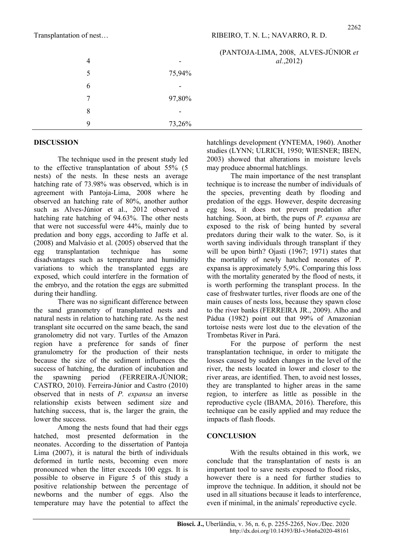### (PANTOJA-LIMA, 2008, ALVES-JÚNIOR et al.,2012)

| 4 |        |
|---|--------|
| 5 | 75,94% |
| 6 |        |
| 7 | 97,80% |
| 8 |        |
| 9 | 73,26% |

## DISCUSSION

The technique used in the present study led to the effective transplantation of about 55% (5 nests) of the nests. In these nests an average hatching rate of 73.98% was observed, which is in agreement with Pantoja-Lima, 2008 where he observed an hatching rate of 80%, another author such as Alves-Júnior et al., 2012 observed a hatching rate hatching of 94.63%. The other nests that were not successful were 44%, mainly due to predation and bony eggs, according to Jaffe et al. (2008) and Malvásio et al. (2005) observed that the egg transplantation technique has some disadvantages such as temperature and humidity variations to which the transplanted eggs are exposed, which could interfere in the formation of the embryo, and the rotation the eggs are submitted during their handling.

There was no significant difference between the sand granometry of transplanted nests and natural nests in relation to hatching rate. As the nest transplant site occurred on the same beach, the sand granolometry did not vary. Turtles of the Amazon region have a preference for sands of finer granulometry for the production of their nests because the size of the sediment influences the success of hatching, the duration of incubation and the spawning period (FERREIRA-JÚNIOR; CASTRO, 2010). Ferreira-Júnior and Castro (2010) observed that in nests of P. expansa an inverse relationship exists between sediment size and hatching success, that is, the larger the grain, the lower the success.

Among the nests found that had their eggs hatched, most presented deformation in the neonates. According to the dissertation of Pantoja Lima (2007), it is natural the birth of individuals deformed in turtle nests, becoming even more pronounced when the litter exceeds 100 eggs. It is possible to observe in Figure 5 of this study a positive relationship between the percentage of newborns and the number of eggs. Also the temperature may have the potential to affect the hatchlings development (YNTEMA, 1960). Another studies (LYNN; ULRICH, 1950; WIESNER; IBEN, 2003) showed that alterations in moisture levels may produce abnormal hatchlings.

The main importance of the nest transplant technique is to increase the number of individuals of the species, preventing death by flooding and predation of the eggs. However, despite decreasing egg loss, it does not prevent predation after hatching. Soon, at birth, the pups of P. expansa are exposed to the risk of being hunted by several predators during their walk to the water. So, is it worth saving individuals through transplant if they will be upon birth? Ojasti (1967; 1971) states that the mortality of newly hatched neonates of P. expansa is approximately 5,9%. Comparing this loss with the mortality generated by the flood of nests, it is worth performing the transplant process. In the case of freshwater turtles, river floods are one of the main causes of nests loss, because they spawn close to the river banks (FERREIRA JR., 2009). Alho and Pádua (1982) point out that 99% of Amazonian tortoise nests were lost due to the elevation of the Trombetas River in Pará.

For the purpose of perform the nest transplantation technique, in order to mitigate the losses caused by sudden changes in the level of the river, the nests located in lower and closer to the river areas, are identified. Then, to avoid nest losses, they are transplanted to higher areas in the same region, to interfere as little as possible in the reproductive cycle (IBAMA, 2016). Therefore, this technique can be easily applied and may reduce the impacts of flash floods.

#### **CONCLUSION**

With the results obtained in this work, we conclude that the transplantation of nests is an important tool to save nests exposed to flood risks, however there is a need for further studies to improve the technique. In addition, it should not be used in all situations because it leads to interference, even if minimal, in the animals' reproductive cycle.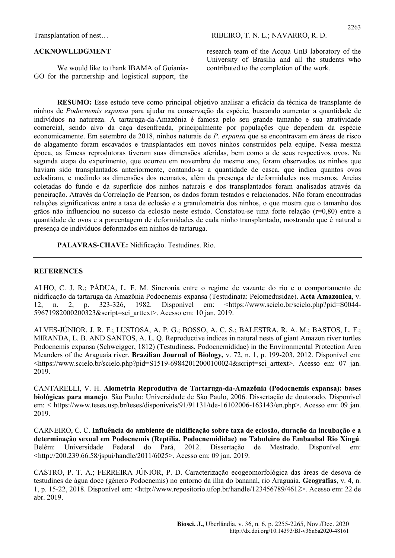#### ACKNOWLEDGMENT

We would like to thank IBAMA of Goiania-GO for the partnership and logistical support, the research team of the Acqua UnB laboratory of the University of Brasília and all the students who contributed to the completion of the work.

RESUMO: Esse estudo teve como principal objetivo analisar a eficácia da técnica de transplante de ninhos de Podocnemis expansa para ajudar na conservação da espécie, buscando aumentar a quantidade de indivíduos na natureza. A tartaruga-da-Amazônia é famosa pelo seu grande tamanho e sua atratividade comercial, sendo alvo da caça desenfreada, principalmente por populações que dependem da espécie economicamente. Em setembro de 2018, ninhos naturais de P. expansa que se encontravam em áreas de risco de alagamento foram escavados e transplantados em novos ninhos construídos pela equipe. Nessa mesma época, as fêmeas reprodutoras tiveram suas dimensões aferidas, bem como a de seus respectivos ovos. Na segunda etapa do experimento, que ocorreu em novembro do mesmo ano, foram observados os ninhos que haviam sido transplantados anteriormente, contando-se a quantidade de casca, que indica quantos ovos eclodiram, e medindo as dimensões dos neonatos, além da presença de deformidades nos mesmos. Areias coletadas do fundo e da superfície dos ninhos naturais e dos transplantados foram analisadas através da peneiração. Através da Correlação de Pearson, os dados foram testados e relacionados. Não foram encontradas relações significativas entre a taxa de eclosão e a granulometria dos ninhos, o que mostra que o tamanho dos grãos não influenciou no sucesso da eclosão neste estudo. Constatou-se uma forte relação (r=0,80) entre a quantidade de ovos e a porcentagem de deformidades de cada ninho transplantado, mostrando que é natural a presença de indivíduos deformados em ninhos de tartaruga.

PALAVRAS-CHAVE: Nidificação. Testudines. Rio.

#### **REFERENCES**

ALHO, C. J. R.; PÁDUA, L. F. M. Sincronia entre o regime de vazante do rio e o comportamento de nidificação da tartaruga da Amazônia Podocnemis expansa (Testudinata: Pelomedusidae). Acta Amazonica, v. 12, n. 2, p. 323-326, 1982. Disponível em: <https://www.scielo.br/scielo.php?pid=S0044- 59671982000200323&script=sci\_arttext>. Acesso em: 10 jan. 2019.

ALVES-JÚNIOR, J. R. F.; LUSTOSA, A. P. G.; BOSSO, A. C. S.; BALESTRA, R. A. M.; BASTOS, L. F.; MIRANDA, L. B. AND SANTOS, A. L. Q. Reproductive indices in natural nests of giant Amazon river turtles Podocnemis expansa (Schweigger, 1812) (Testudiness, Podocnemididae) in the Environmental Protection Area Meanders of the Araguaia river. **Brazilian Journal of Biology,** v. 72, n. 1, p. 199-203, 2012. Disponível em: <https://www.scielo.br/scielo.php?pid=S1519-69842012000100024&script=sci\_arttext>. Acesso em: 07 jan. 2019.

CANTARELLI, V. H. Alometria Reprodutiva de Tartaruga-da-Amazônia (Podocnemis expansa): bases biológicas para manejo. São Paulo: Universidade de São Paulo, 2006. Dissertação de doutorado. Disponível em: < https://www.teses.usp.br/teses/disponiveis/91/91131/tde-16102006-163143/en.php>. Acesso em: 09 jan. 2019.

CARNEIRO, C. C. Influência do ambiente de nidificação sobre taxa de eclosão, duração da incubação e a determinação sexual em Podocnemis (Reptilia, Podocnemididae) no Tabuleiro do Embaubal Rio Xingú. Belém: Universidade Federal do Pará, 2012. Dissertação de Mestrado. Disponível em: <http://200.239.66.58/jspui/handle/2011/6025>. Acesso em: 09 jan. 2019.

CASTRO, P. T. A.; FERREIRA JÚNIOR, P. D. Caracterização ecogeomorfológica das áreas de desova de testudines de água doce (gênero Podocnemis) no entorno da ilha do bananal, rio Araguaia. Geografias, v. 4, n. 1, p. 15-22, 2018. Disponível em: <http://www.repositorio.ufop.br/handle/123456789/4612>. Acesso em: 22 de abr. 2019.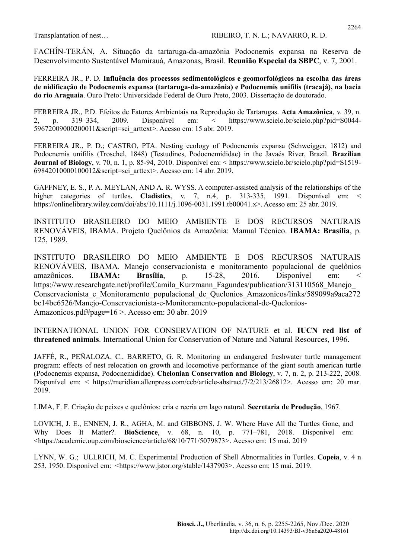FACHÍN-TERÁN, A. Situação da tartaruga-da-amazônia Podocnemis expansa na Reserva de Desenvolvimento Sustentável Mamirauá, Amazonas, Brasil. Reunião Especial da SBPC, v. 7, 2001.

FERREIRA JR., P. D. Influência dos processos sedimentológicos e geomorfológicos na escolha das áreas de nidificação de Podocnemis expansa (tartaruga-da-amazônia) e Podocnemis unifilis (tracajá), na bacia do rio Araguaia. Ouro Preto: Universidade Federal de Ouro Preto, 2003. Dissertação de doutorado.

FERREIRA JR., P.D. Efeitos de Fatores Ambientais na Reprodução de Tartarugas. Acta Amazônica, v. 39, n. 2, p. 319–334, 2009. Disponível em: < https://www.scielo.br/scielo.php?pid=S0044- 59672009000200011&script=sci\_arttext>. Acesso em: 15 abr. 2019.

FERREIRA JR., P. D.; CASTRO, PTA. Nesting ecology of Podocnemis expansa (Schweigger, 1812) and Podocnemis unifilis (Troschel, 1848) (Testudines, Podocnemididae) in the Javaés River, Brazil. Brazilian Journal of Biology, v. 70, n. 1, p. 85-94, 2010. Disponível em: < https://www.scielo.br/scielo.php?pid=S1519- 69842010000100012&script=sci\_arttext>. Acesso em: 14 abr. 2019.

GAFFNEY, E. S., P. A. MEYLAN, AND A. R. WYSS. A computer-assisted analysis of the relationships of the higher categories of turtles. Cladistics, v. 7, n.4, p. 313-335, 1991. Disponível em: < https://onlinelibrary.wiley.com/doi/abs/10.1111/j.1096-0031.1991.tb00041.x>. Acesso em: 25 abr. 2019.

INSTITUTO BRASILEIRO DO MEIO AMBIENTE E DOS RECURSOS NATURAIS RENOVÁVEIS, IBAMA. Projeto Quelônios da Amazônia: Manual Técnico. IBAMA: Brasília, p. 125, 1989.

INSTITUTO BRASILEIRO DO MEIO AMBIENTE E DOS RECURSOS NATURAIS RENOVÁVEIS, IBAMA. Manejo conservacionista e monitoramento populacional de quelônios amazônicos. IBAMA: Brasília, p. 15-28, 2016. Disponível em: < https://www.researchgate.net/profile/Camila Kurzmann Fagundes/publication/313110568 Manejo Conservacionista\_e\_Monitoramento\_populacional\_de\_Quelonios\_Amazonicos/links/589099a9aca272 bc14be6526/Manejo-Conservacionista-e-Monitoramento-populacional-de-Quelonios-Amazonicos.pdf#page=16 >. Acesso em: 30 abr. 2019

INTERNATIONAL UNION FOR CONSERVATION OF NATURE et al. IUCN red list of threatened animals. International Union for Conservation of Nature and Natural Resources, 1996.

JAFFÉ, R., PEÑALOZA, C., BARRETO, G. R. Monitoring an endangered freshwater turtle management program: effects of nest relocation on growth and locomotive performance of the giant south american turtle (Podocnemis expansa, Podocnemididae). Chelonian Conservation and Biology, v. 7, n. 2, p. 213-222, 2008. Disponível em: < https://meridian.allenpress.com/ccb/article-abstract/7/2/213/26812>. Acesso em: 20 mar. 2019.

LIMA, F. F. Criação de peixes e quelônios: cria e recria em lago natural. Secretaria de Produção, 1967.

LOVICH, J. E., ENNEN, J. R., AGHA, M. and GIBBONS, J. W. Where Have All the Turtles Gone, and Why Does It Matter?. BioScience, v. 68, n. 10, p. 771–781, 2018. Disponível em: <https://academic.oup.com/bioscience/article/68/10/771/5079873>. Acesso em: 15 mai. 2019

LYNN, W. G.; ULLRICH, M. C. Experimental Production of Shell Abnormalities in Turtles. Copeia, v. 4 n 253, 1950. Disponível em: <https://www.jstor.org/stable/1437903>. Acesso em: 15 mai. 2019.